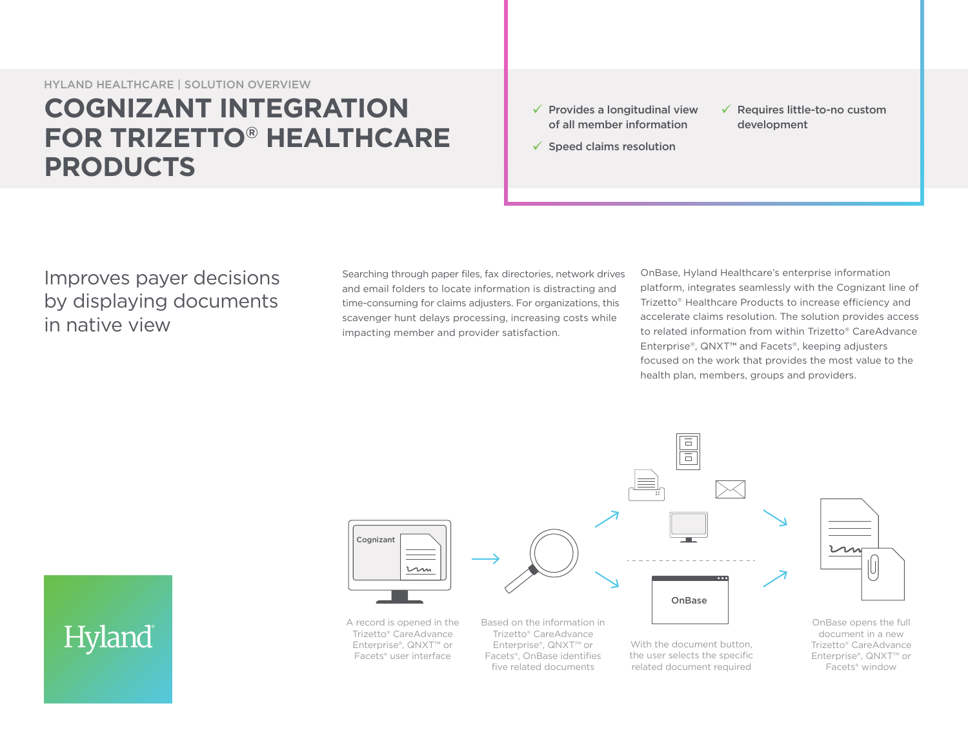HYLAND HEALTHCARE | SOLUTION OVERVIEW

# **COGNIZANT INTEGRATION FOR TRIZETTO® HEALTHCARE PRODUCTS**

- $\checkmark$  Provides a longitudinal view of all member information
- $\checkmark$  Requires little-to-no custom development
- $\checkmark$  Speed claims resolution

## Improves payer decisions by displaying documents in native view

Searching through paper files, fax directories, network drives and email folders to locate information is distracting and time-consuming for claims adjusters. For organizations, this scavenger hunt delays processing, increasing costs while impacting member and provider satisfaction.

OnBase, Hyland Healthcare's enterprise information platform, integrates seamlessly with the Cognizant line of Trizetto® Healthcare Products to increase efficiency and accelerate claims resolution. The solution provides access to related information from within Trizetto® CareAdvance Enterprise®, QNXT™ and Facets®, keeping adjusters focused on the work that provides the most value to the health plan, members, groups and providers.



Hyland